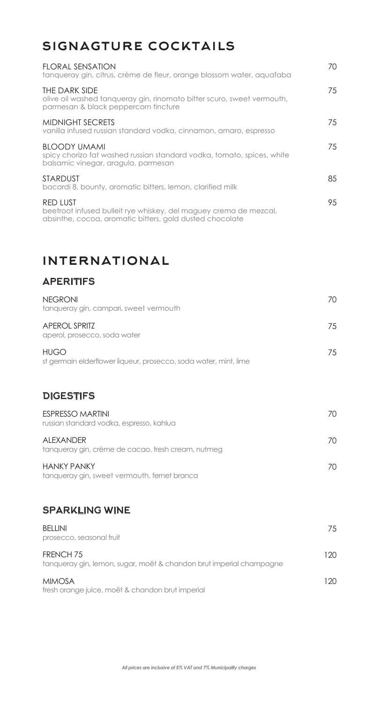# signagture cocktails

| <b>FLORAL SENSATION</b><br>tanqueray gin, citrus, crème de fleur, orange blossom water, aquafaba                                                 | 70. |
|--------------------------------------------------------------------------------------------------------------------------------------------------|-----|
| THE DARK SIDE<br>olive oil washed tangueray gin, rinomato bitter scuro, sweet vermouth,<br>parmesan & black peppercorn fincture                  | 75  |
| <b>MIDNIGHT SECRETS</b><br>vanilla infused russian standard vodka, cinnamon, amaro, espresso                                                     | 75  |
| <b>BLOODY UMAMI</b><br>spicy chorizo fat washed russian standard vodka, tomato, spices, white<br>balsamic vinegar, aragula, parmesan             | 75  |
| <b>STARDUST</b><br>bacardi 8, bounty, aromatic bitters, lemon, clarified milk                                                                    | 85  |
| <b>RED LUST</b><br>beetroot infused bulleit rye whiskey, del maguey crema de mezcal,<br>absinthe, cocoa, aromatic bitters, gold dusted chocolate | 95  |

# international

#### **APERITIFS**

| <b>NEGRONI</b><br>tanqueray gin, campari, sweet vermouth                        | 70 |
|---------------------------------------------------------------------------------|----|
| <b>APEROL SPRITZ</b><br>aperol, prosecco, soda water                            | 75 |
| <b>HUGO</b><br>st germain elderflower liqueur, prosecco, soda water, mint, lime | 75 |
| <b>DIGESTIFS</b>                                                                |    |
| <b>ESPRESSO MARTINI</b><br>russian standard vodka, espresso, kahlua             | 70 |
| <b>ALEXANDER</b><br>tanqueray gin, crème de cacao, fresh cream, nutmeg          | 70 |
|                                                                                 |    |

HANKY PANKY tanqueray gin, sweet vermouth, fernet branca

### SPARKLING WINE

| <b>BELLINI</b><br>prosecco, seasonal fruit                                                  | 75   |
|---------------------------------------------------------------------------------------------|------|
| FRENCH <sub>75</sub><br>tanqueray gin, lemon, sugar, moët & chandon brut imperial champagne | 120. |
| <b>MIMOSA</b><br>fresh orange juice, moët & chandon brut imperial                           | 120. |

70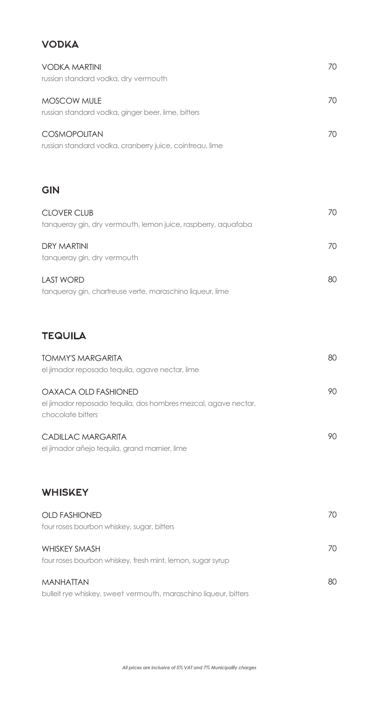### VODKA

| <b>VODKA MARTINI</b><br>russian standard vodka, dry vermouth                                                | 70 |
|-------------------------------------------------------------------------------------------------------------|----|
| MOSCOW MULE<br>russian standard vodka, ginger beer, lime, bitters                                           | 70 |
| <b>COSMOPOLITAN</b><br>russian standard vodka, cranberry juice, cointreau, lime                             | 70 |
| <b>GIN</b>                                                                                                  |    |
| <b>CLOVER CLUB</b><br>tanqueray gin, dry vermouth, lemon juice, raspberry, aquafaba                         | 70 |
| <b>DRY MARTINI</b><br>tanqueray gin, dry vermouth                                                           | 70 |
| <b>LAST WORD</b><br>tanqueray gin, chartreuse verte, maraschino liqueur, lime                               | 80 |
| <b>TEQUILA</b>                                                                                              |    |
| <b>TOMMY'S MARGARITA</b><br>el jimador reposado tequila, agave nectar, lime                                 | 80 |
| OAXACA OLD FASHIONED<br>el jimador reposado tequila, dos hombres mezcal, agave nectar,<br>chocolate bitters | 90 |
| CADILLAC MARGARITA<br>el jimador añejo tequila, grand marnier, lime                                         | 90 |
| <b>WHISKEY</b>                                                                                              |    |
| <b>OLD FASHIONED</b><br>four roses bourbon whiskey, sugar, bitters                                          | 70 |
| <b>WHISKEY SMASH</b><br>four roses bourbon whiskey, fresh mint, lemon, sugar syrup                          | 70 |
| <b>MANHATTAN</b><br>bulleit rye whiskey, sweet vermouth, maraschino liqueur, bitters                        | 80 |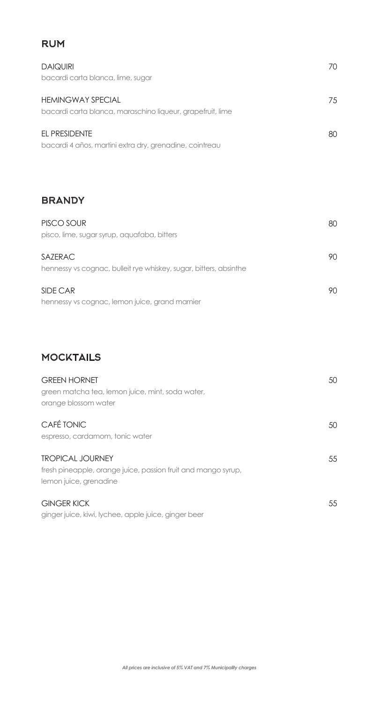#### RUM

| <b>DAIQUIRI</b><br>bacardi carta blanca, lime, sugar                                   | 70 |
|----------------------------------------------------------------------------------------|----|
| <b>HEMINGWAY SPECIAL</b><br>bacardi carta blanca, maraschino liqueur, grapefruit, lime | 75 |
| EL PRESIDENTE<br>bacardi 4 años, martini extra dry, grenadine, cointreau               | 80 |

### **BRANDY**

| PISCO SOUR                                                        | 80 |
|-------------------------------------------------------------------|----|
| pisco, lime, sugar syrup, aquafaba, bitters                       |    |
| <b>SAZERAC</b>                                                    | 90 |
| hennessy vs cognac, bulleit rye whiskey, sugar, bitters, absinthe |    |
| SIDE CAR                                                          | 90 |
| hennessy vs cognac, lemon juice, grand marnier                    |    |

### **MOCKTAILS**

| <b>GREEN HORNET</b><br>green matcha tea, lemon juice, mint, soda water,<br>orange blossom water                    | 50 |
|--------------------------------------------------------------------------------------------------------------------|----|
| CAFÉ TONIC<br>espresso, cardamom, tonic water                                                                      | 50 |
| <b>TROPICAL JOURNEY</b><br>fresh pineapple, orange juice, passion fruit and mango syrup,<br>lemon juice, grenadine | 55 |
| <b>GINGER KICK</b><br>ginger juice, kiwi, lychee, apple juice, ginger beer                                         | 55 |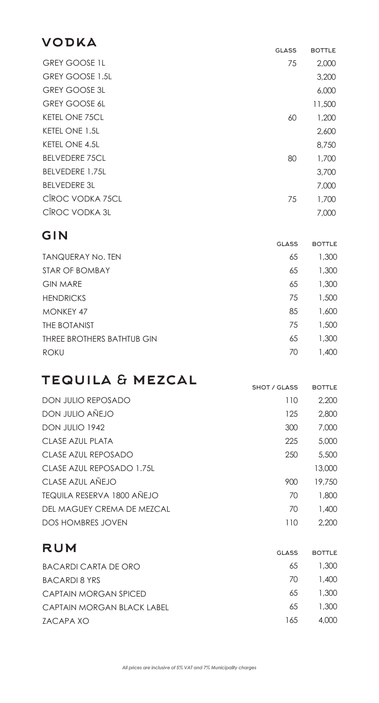# vodka

|                        | <b>GLASS</b> | <b>BOTTLE</b> |
|------------------------|--------------|---------------|
| <b>GREY GOOSE 1L</b>   | 75           | 2,000         |
| GREY GOOSE 1.5L        |              | 3,200         |
| <b>GREY GOOSE 3L</b>   |              | 6,000         |
| <b>GREY GOOSE 6L</b>   |              | 11,500        |
| <b>KETEL ONE 75CL</b>  | 60           | 1,200         |
| KETEL ONE 1.5L         |              | 2,600         |
| <b>KETEL ONE 4.5L</b>  |              | 8,750         |
| <b>BELVEDERE 75CL</b>  | 80           | 1,700         |
| <b>BELVEDERE 1.75L</b> |              | 3,700         |
| <b>BELVEDERE 3L</b>    |              | 7,000         |
| CÎROC VODKA 75CL       | 75           | 1,700         |
| CIROC VODKA 3L         |              | 7,000         |

### gin

|                            | GLASS | <b>BOTTLE</b> |
|----------------------------|-------|---------------|
| <b>TANQUERAY No. TEN</b>   | 65    | 1,300         |
| STAR OF BOMBAY             | 65    | 1,300         |
| <b>GIN MARE</b>            | 65    | 1,300         |
| <b>HENDRICKS</b>           | 75    | 1,500         |
| <b>MONKEY 47</b>           | 85    | 1,600         |
| THE BOTANIST               | 75    | 1,500         |
| THREE BROTHERS BATHTUB GIN | 65    | 1,300         |
| <b>ROKU</b>                | 70    | 1,400         |

# tequila & mezcal

|                                   | SHOT / GLASS | <b>BOTTLE</b> |
|-----------------------------------|--------------|---------------|
| <b>DON JULIO REPOSADO</b>         | 110          | 2,200         |
| DON JULIO AÑEJO                   | 125          | 2,800         |
| DON JULIO 1942                    | 300          | 7,000         |
| CLASE AZUL PLATA                  | 225          | 5,000         |
| CLASE AZUL REPOSADO               | 250          | 5,500         |
| CLASE AZUL REPOSADO 1.75L         |              | 13,000        |
| <b>CLASE AZUL ANEJO</b>           | 900          | 19,750        |
| <b>TEQUILA RESERVA 1800 AÑEJO</b> | 70           | 1,800         |
| DEL MAGUEY CREMA DE MEZCAL        | 70           | 1,400         |
| <b>DOS HOMBRES JOVEN</b>          | 110          | 2.200         |

| RUM          |        |  |
|--------------|--------|--|
| <b>GLASS</b> | BOTTLE |  |
| 65           | 1,300  |  |
| 70           | 1.400  |  |
| 65           | 1.300  |  |
| 65           | 1,300  |  |
| 165          | 4.000  |  |
|              |        |  |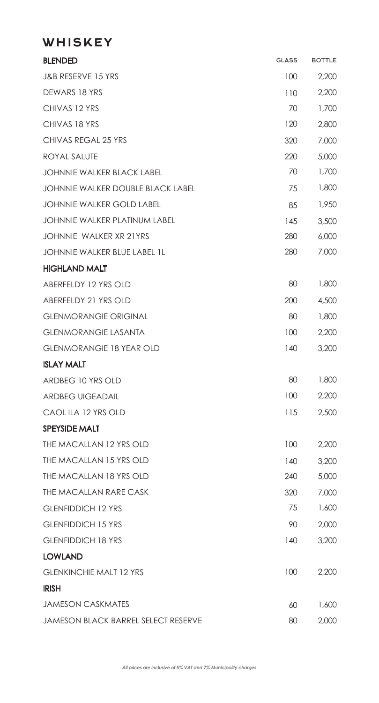## **WHISKEY**

| <b>BLENDED</b>                             | <b>GLASS</b> | <b>BOTTLE</b> |
|--------------------------------------------|--------------|---------------|
| J&B RESERVE 15 YRS                         | 100          | 2,200         |
| DEWARS 18 YRS                              | 110          | 2,200         |
| CHIVAS 12 YRS                              | 70           | 1,700         |
| CHIVAS 18 YRS                              | 120          | 2,800         |
| CHIVAS REGAL 25 YRS                        | 320          | 7,000         |
| ROYAL SALUTE                               | 220          | 5,000         |
| <b>JOHNNIE WALKER BLACK LABEL</b>          | 70           | 1,700         |
| <b>JOHNNIE WALKER DOUBLE BLACK LABEL</b>   | 75           | 1,800         |
| <b>JOHNNIE WALKER GOLD LABEL</b>           | 85           | 1,950         |
| <b>JOHNNIE WALKER PLATINUM LABEL</b>       | 145          | 3,500         |
| JOHNNIE WALKER XR 21YRS                    | 280          | 6,000         |
| <b>JOHNNIE WALKER BLUE LABEL 1L</b>        | 280          | 7,000         |
| <b>HIGHLAND MALT</b>                       |              |               |
| ABERFELDY 12 YRS OLD                       | 80           | 1,800         |
| ABERFELDY 21 YRS OLD                       | 200          | 4,500         |
| <b>GLENMORANGIE ORIGINAL</b>               | 80           | 1,800         |
| <b>GLENMORANGIE LASANTA</b>                | 100          | 2,200         |
| <b>GLENMORANGIE 18 YEAR OLD</b>            | 140          | 3,200         |
| <b>ISLAY MALT</b>                          |              |               |
| ARDBEG 10 YRS OLD                          | 80           | 1,800         |
| <b>ARDBEG UIGEADAIL</b>                    | 100          | 2,200         |
| CAOL ILA 12 YRS OLD                        | 115          | 2,500         |
| <b>SPEYSIDE MALT</b>                       |              |               |
| THE MACALLAN 12 YRS OLD                    | 100          | 2,200         |
| THE MACALLAN 15 YRS OLD                    | 140          | 3,200         |
| THE MACALLAN 18 YRS OLD                    | 240          | 5,000         |
| THE MACALLAN RARE CASK                     | 320          | 7,000         |
| <b>GLENFIDDICH 12 YRS</b>                  | 75           | 1,600         |
| <b>GLENFIDDICH 15 YRS</b>                  | 90           | 2,000         |
| <b>GLENFIDDICH 18 YRS</b>                  | 140          | 3,200         |
| <b>LOWLAND</b>                             |              |               |
| <b>GLENKINCHIE MALT 12 YRS</b>             | 100          | 2,200         |
| <b>IRISH</b>                               |              |               |
| <b>JAMESON CASKMATES</b>                   | 60           | 1,600         |
| <b>JAMESON BLACK BARREL SELECT RESERVE</b> | 80           | 2,000         |